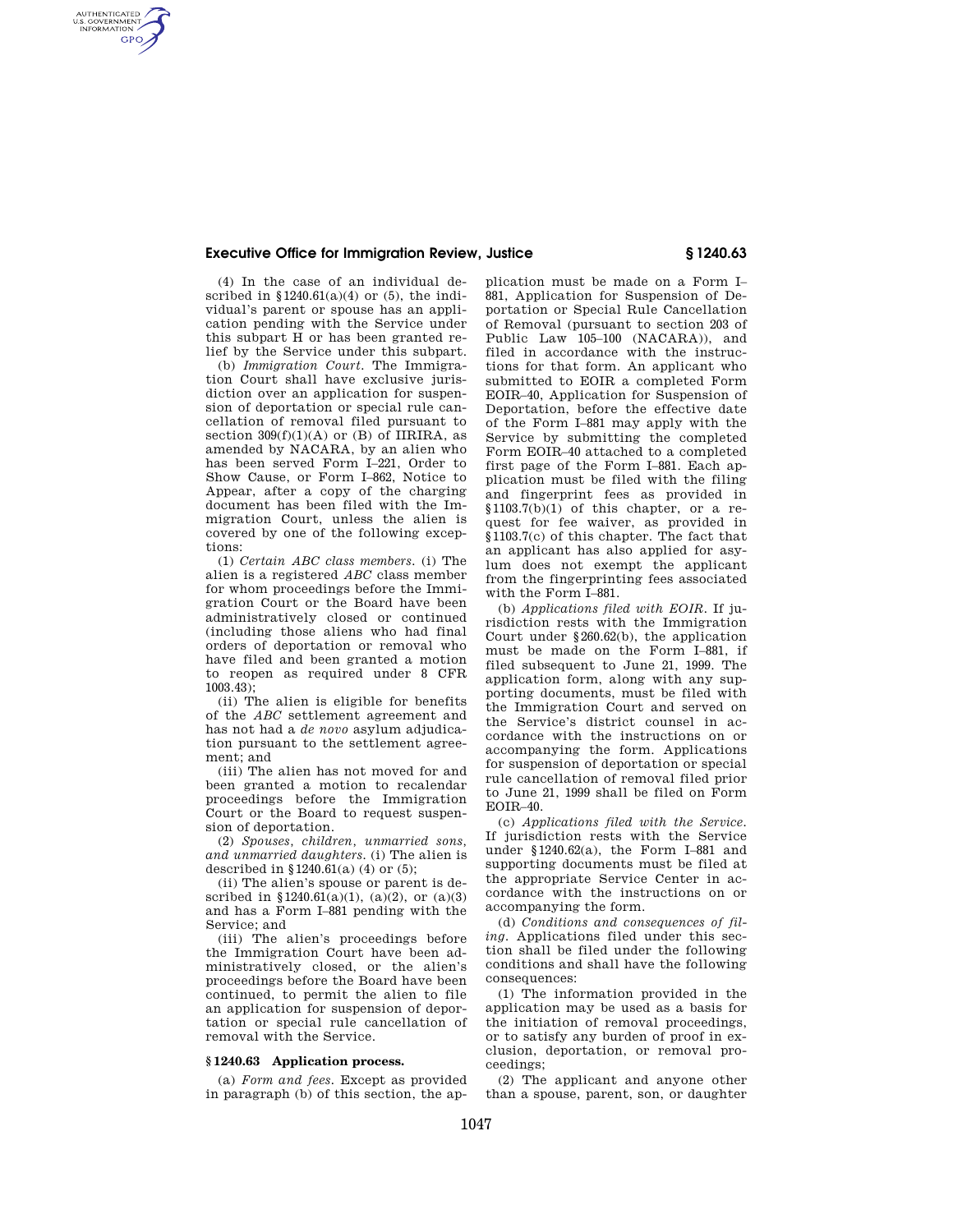## **Executive Office for Immigration Review, Justice § 1240.63**

(4) In the case of an individual described in  $$1240.61(a)(4)$  or (5), the individual's parent or spouse has an application pending with the Service under this subpart H or has been granted relief by the Service under this subpart.

AUTHENTICATED<br>U.S. GOVERNMENT<br>INFORMATION **GPO** 

> (b) *Immigration Court.* The Immigration Court shall have exclusive jurisdiction over an application for suspension of deportation or special rule cancellation of removal filed pursuant to section  $309(f)(1)(A)$  or (B) of IIRIRA, as amended by NACARA, by an alien who has been served Form I–221, Order to Show Cause, or Form I–862, Notice to Appear, after a copy of the charging document has been filed with the Immigration Court, unless the alien is covered by one of the following exceptions:

> (1) *Certain ABC class members.* (i) The alien is a registered *ABC* class member for whom proceedings before the Immigration Court or the Board have been administratively closed or continued (including those aliens who had final orders of deportation or removal who have filed and been granted a motion to reopen as required under 8 CFR 1003.43);

> (ii) The alien is eligible for benefits of the *ABC* settlement agreement and has not had a *de novo* asylum adjudication pursuant to the settlement agreement; and

> (iii) The alien has not moved for and been granted a motion to recalendar proceedings before the Immigration Court or the Board to request suspension of deportation.

> (2) *Spouses, children, unmarried sons, and unmarried daughters.* (i) The alien is described in  $§ 1240.61(a) (4)$  or (5);

> (ii) The alien's spouse or parent is described in §1240.61(a)(1), (a)(2), or (a)(3) and has a Form I–881 pending with the Service; and

> (iii) The alien's proceedings before the Immigration Court have been administratively closed, or the alien's proceedings before the Board have been continued, to permit the alien to file an application for suspension of deportation or special rule cancellation of removal with the Service.

## **§ 1240.63 Application process.**

(a) *Form and fees.* Except as provided in paragraph (b) of this section, the ap-

plication must be made on a Form I– 881, Application for Suspension of Deportation or Special Rule Cancellation of Removal (pursuant to section 203 of Public Law 105–100 (NACARA)), and filed in accordance with the instructions for that form. An applicant who submitted to EOIR a completed Form EOIR–40, Application for Suspension of Deportation, before the effective date of the Form I–881 may apply with the Service by submitting the completed Form EOIR–40 attached to a completed first page of the Form I–881. Each application must be filed with the filing and fingerprint fees as provided in  $$1103.7(b)(1)$  of this chapter, or a request for fee waiver, as provided in §1103.7(c) of this chapter. The fact that an applicant has also applied for asylum does not exempt the applicant from the fingerprinting fees associated with the Form I–881.

(b) *Applications filed with EOIR.* If jurisdiction rests with the Immigration Court under §260.62(b), the application must be made on the Form I–881, if filed subsequent to June 21, 1999. The application form, along with any supporting documents, must be filed with the Immigration Court and served on the Service's district counsel in accordance with the instructions on or accompanying the form. Applications for suspension of deportation or special rule cancellation of removal filed prior to June 21, 1999 shall be filed on Form EOIR–40.

(c) *Applications filed with the Service.*  If jurisdiction rests with the Service under §1240.62(a), the Form I–881 and supporting documents must be filed at the appropriate Service Center in accordance with the instructions on or accompanying the form.

(d) *Conditions and consequences of filing.* Applications filed under this section shall be filed under the following conditions and shall have the following consequences:

(1) The information provided in the application may be used as a basis for the initiation of removal proceedings, or to satisfy any burden of proof in exclusion, deportation, or removal proceedings;

(2) The applicant and anyone other than a spouse, parent, son, or daughter